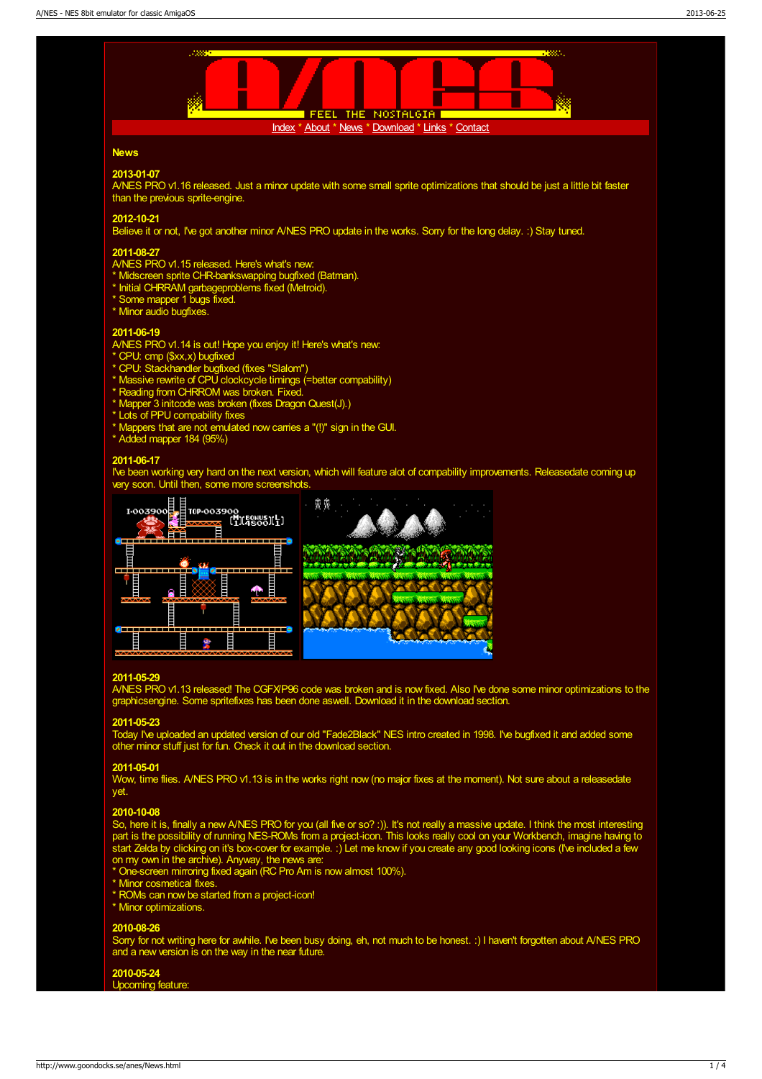

Sorry for not writing here for awhile. I've been busy doing, eh, not much to be honest. :) I haven't forgotten about A/NES PRO and a new version is on the way in the near future.

# 2010-05-24

Upcoming feature: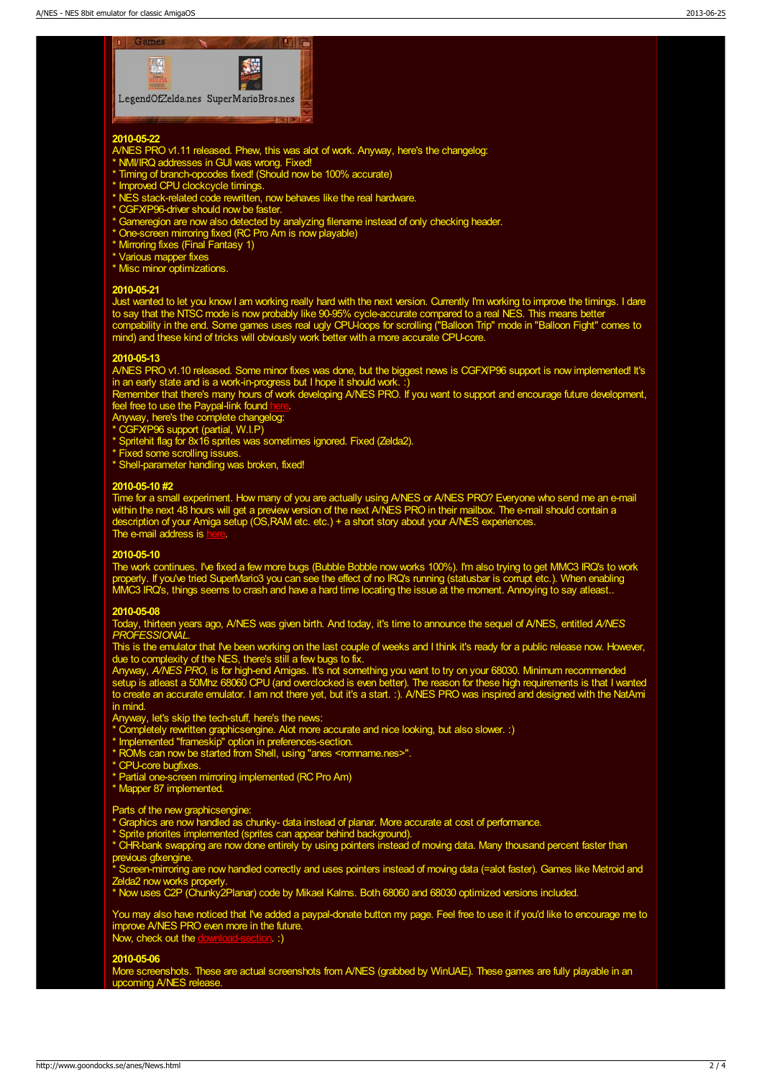

## 2010-05-22

- A/NES PRO v1.11 released. Phew, this was alot of work. Anyway, here's the changelog:
- \* NMI/IRQ addresses in GUI was wrong. Fixed!
- \* Timing of branch-opcodes fixed! (Should now be 100% accurate)
- \* Improved CPU clockcycle timings.
- \* NES stack-related code rewritten, now behaves like the real hardware.
- \* CGFX/P96-driver should now be faster.
- \* Gameregion are now also detected by analyzing filename instead of only checking header.
- \* One-screen mirroring fixed (RC Pro Am is now playable)
- \* Mirroring fixes (Final Fantasy 1)
- \* Various mapper fixes
- \* Misc minor optimizations.

### 2010-05-21

Just wanted to let you know I am working really hard with the next version. Currently I'm working to improve the timings. I dare to say that the NTSC mode is now probably like 90-95% cycle-accurate compared to a real NES. This means better compability in the end. Some games uses real ugly CPU-loops for scrolling ("Balloon Trip" mode in "Balloon Fight" comes to mind) and these kind of tricks will obviously work better with a more accurate CPU-core.

# 2010-05-13

A/NES PRO v1.10 released. Some minor fixes was done, but the biggest news is CGFX/P96 support is now implemented! It's in an early state and is a work-in-progress but I hope it should work. :)

Remember that there's many hours of work developing A/NES PRO. If you want to support and encourage future development, feel free to use the Paypal-link found [here](http://www.goondocks.se/anes/index.html).

Anyway, here's the complete changelog:

- \* CGFX/P96 support (partial, W.I.P)
- \* Spritehit flag for 8x16 sprites was sometimes ignored. Fixed (Zelda2).
- \* Fixed some scrolling issues.
- \* Shell-parameter handling was broken, fixed!

#### 2010-05-10 #2

Time for a small experiment. How many of you are actually using A/NES or A/NES PRO? Everyone who send me an e-mail within the next 48 hours will get a preview version of the next A/NES PRO in their mailbox. The e-mail should contain a description of your Amiga setup (OS, RAM etc. etc.) + a short story about your A/NES experiences. The e-mail address is [here](http://www.goondocks.se/anes/Contact.html).

#### 2010-05-10

The work continues. I've fixed a few more bugs (Bubble Bobble now works 100%). I'm also trying to get MMC3 IRQ's to work properly. If you've tried SuperMario3 you can see the effect of no IRQ's running (statusbar is corrupt etc.). When enabling MMC3 IRQ's, things seems to crash and have a hard time locating the issue at the moment. Annoying to say atleast..

#### 2010-05-08

Today, thirteen years ago, A/NES was given birth. And today, it's time to announce the sequel of A/NES, entitled A/NES PROFESSIONAL.

This is the emulator that I've been working on the last couple of weeks and I think it's ready for a public release now. However, due to complexity of the NES, there's still a few bugs to fix.

Anyway, A/NES PRO, is for high-end Amigas. It's not something you want to try on your 68030. Minimum recommended setup is atleast a 50Mhz 68060 CPU (and overclocked is even better). The reason for these high requirements is that I wanted to create an accurate emulator. I am not there yet, but it's a start. :). A/NES PRO was inspired and designed with the NatAmi in mind.

Anyway, let's skip the tech-stuff, here's the news:

\* Completely rewritten graphicsengine. Alot more accurate and nice looking, but also slower. :)

- \* Implemented "frameskip" option in preferences-section.
- \* ROMs can now be started from Shell, using "anes <romname.nes>".
- \* CPU-core bugfixes.
- \* Partial one-screen mirroring implemented (RC Pro Am)
- \* Mapper 87 implemented.

#### Parts of the new graphicsengine:

- \* Graphics are now handled as chunky- data instead of planar. More accurate at cost of performance.
- \* Sprite priorites implemented (sprites can appear behind background).
- \* CHR-bank swapping are now done entirely by using pointers instead of moving data. Many thousand percent faster than previous gfxengine.

\* Screen-mirroring are now handled correctly and uses pointers instead of moving data (=alot faster). Games like Metroid and Zelda2 now works properly.

\* Now uses C2P (Chunky2Planar) code by Mikael Kalms. Both 68060 and 68030 optimized versions included.

You may also have noticed that I've added a paypal-donate button my page. Feel free to use it if you'd like to encourage me to improve A/NES PRO even more in the future. Now, check out the **[download-section](http://www.goondocks.se/anes/download.aspx).** :)

# 2010-05-06

More screenshots. These are actual screenshots from A/NES (grabbed by WinUAE). These games are fully playable in an upcoming A/NES release.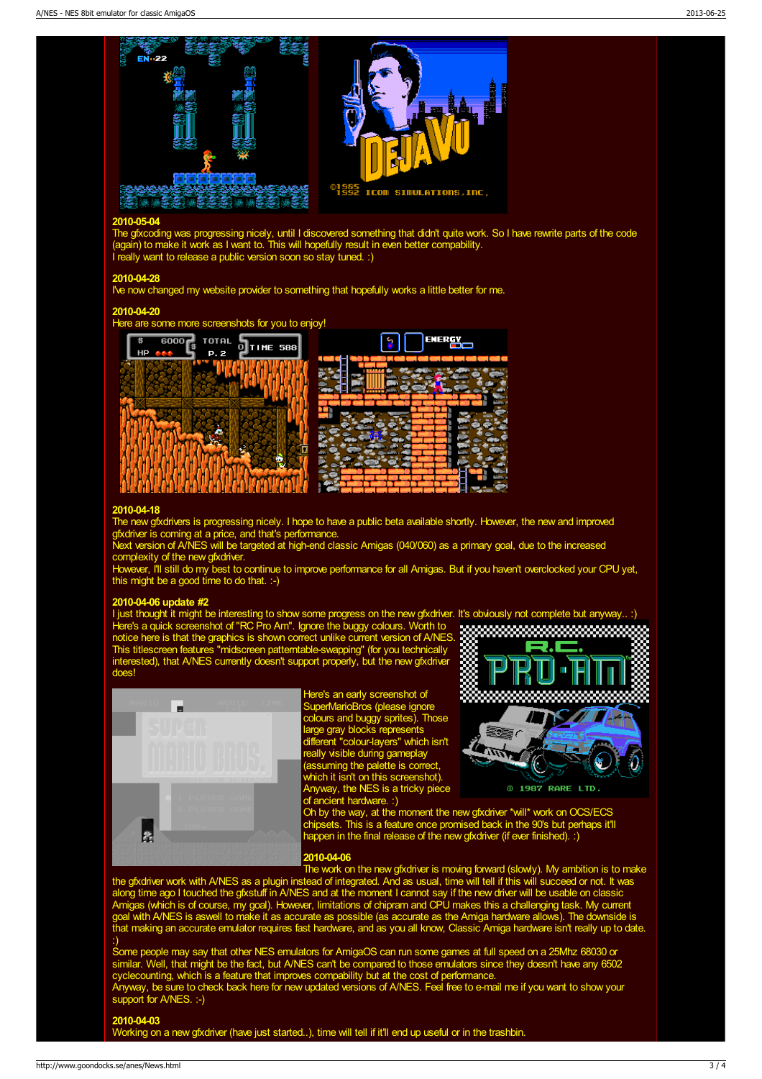

# 2010-05-04

The gfxcoding was progressing nicely, until I discovered something that didn't quite work. So I have rewrite parts of the code (again) to make it work as I want to. This will hopefully result in even better compability. I really want to release a public version soon so stay tuned. :)

## 2010-04-28

I've now changed my website provider to something that hopefully works a little better for me.

# 2010-04-20





# 2010-04-18

The new gfxdrivers is progressing nicely. I hope to have a public beta available shortly. However, the new and improved gfxdriver is coming at a price, and that's performance.

Next version of A/NES will be targeted at high-end classic Amigas (040/060) as a primary goal, due to the increased complexity of the new gfxdriver.

However, I'll still do my best to continue to improve performance for all Amigas. But if you haven't overclocked your CPU yet, this might be a good time to do that. :-)

> Here's an early screenshot of SuperMarioBros (please ignore colours and buggy sprites). Those large gray blocks represents different "colour-layers" which isn't really visible during gameplay (assuming the palette is correct, which it isn't on this screenshot). Anyway, the NES is a tricky piece

#### 2010-04-06 update #2

ø

I just thought it might be interesting to show some progress on the new gfxdriver. It's obviously not complete but anyway.. :) Here's a quick screenshot of "RC Pro Am". Ignore the buggy colours. Worth to notice here is that the graphics is shown correct unlike current version of A/NES. This titlescreen features "midscreen patterntable-swapping" (for you technically interested), that A/NES currently doesn't support properly, but the new gfxdriver does!





ŀ.

of ancient hardware. :) Oh by the way, at the moment the new gfxdriver \*will\* work on OCS/ECS chipsets. This is a feature once promised back in the 90's but perhaps it'll happen in the final release of the new gfxdriver (if ever finished). :)

# 2010-04-06

The work on the new gfxdriver is moving forward (slowly). My ambition is to make the gfxdriver work with A/NES as a plugin instead of integrated. And as usual, time will tell if this will succeed or not. It was along time ago I touched the gfxstuff in A/NES and at the moment I cannot say if the new driver will be usable on classic Amigas (which is of course, my goal). However, limitations of chipram and CPU makes this a challenging task. My current goal with A/NES is aswell to make it as accurate as possible (as accurate as the Amiga hardware allows). The downside is that making an accurate emulator requires fast hardware, and as you all know, Classic Amiga hardware isn't really up to date. :)

Some people may say that other NES emulators for AmigaOS can run some games at full speed on a 25Mhz 68030 or similar. Well, that might be the fact, but A/NES can't be compared to those emulators since they doesn't have any 6502 cyclecounting, which is a feature that improves compability but at the cost of performance. Anyway, be sure to check back here for new updated versions of A/NES. Feel free to e-mail me if you want to show your support for A/NES. :-)

## 2010-04-03

k

Working on a new gfxdriver (have just started..), time will tell if it'll end up useful or in the trashbin.